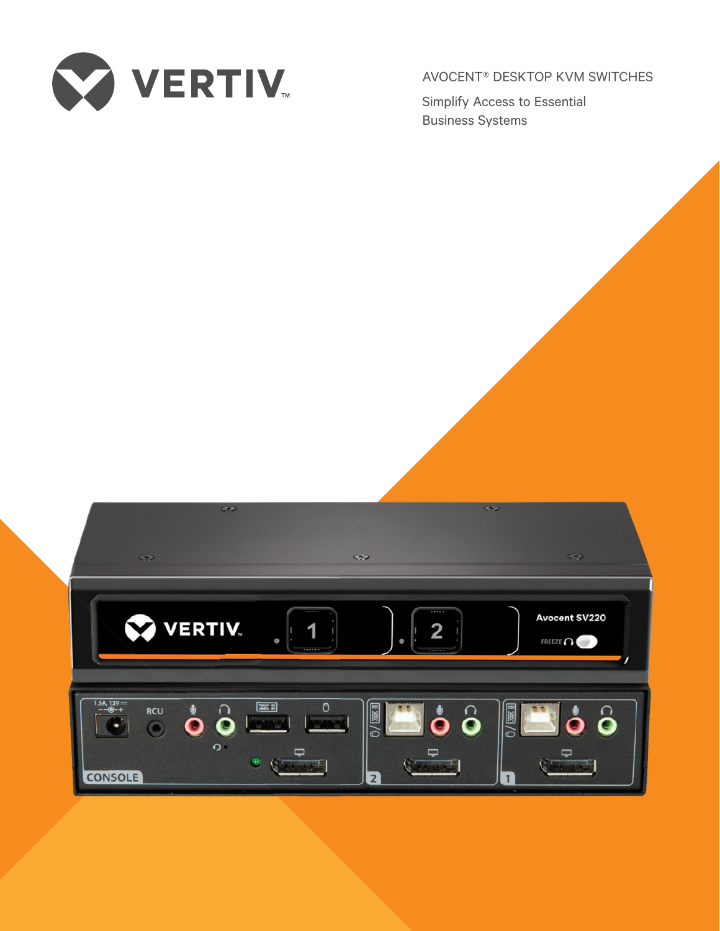

AVOCENT® DESKTOP KVM SWITCHES

Simplify Access to Essential Business Systems

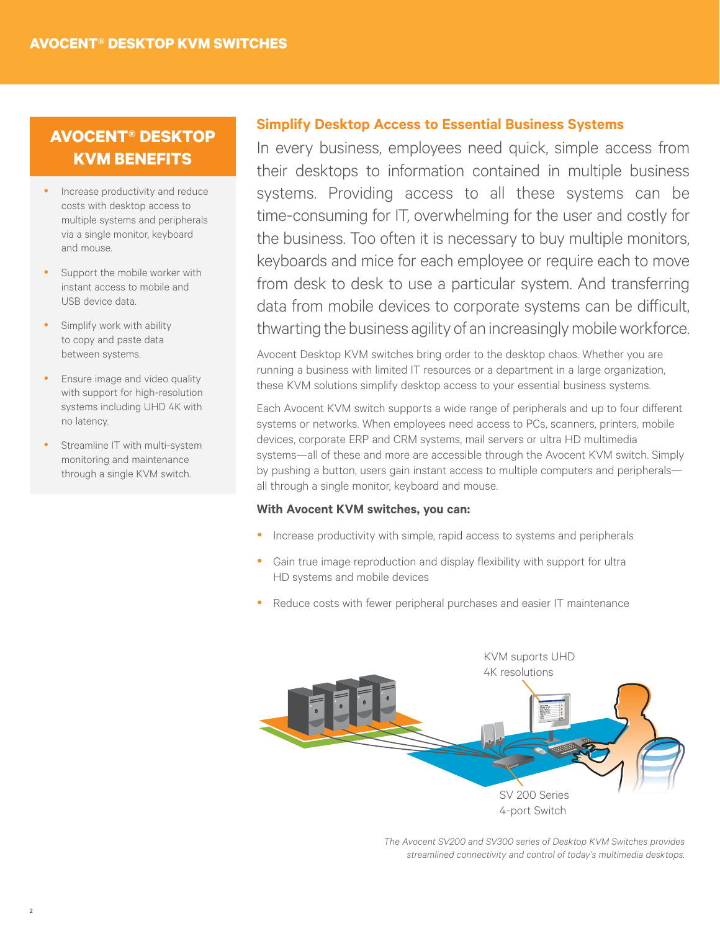# **KVM BENEFITS**

- Increase productivity and reduce costs with desktop access to multiple systems and peripherals via a single monitor, keyboard and mouse.
- Support the mobile worker with instant access to mobile and USB device data.
- Simplify work with ability to copy and paste data between systems.
- Ensure image and video quality with support for high-resolution systems including UHD 4K with no latency.
- Streamline IT with multi-system monitoring and maintenance through a single KVM switch.

# **Simplify Desktop Access to Essential Business Systems AVOCENT® DESKTOP**

In every business, employees need quick, simple access from their desktops to information contained in multiple business systems. Providing access to all these systems can be time-consuming for IT, overwhelming for the user and costly for the business. Too often it is necessary to buy multiple monitors, keyboards and mice for each employee or require each to move from desk to desk to use a particular system. And transferring data from mobile devices to corporate systems can be difficult, thwarting the business agility of an increasingly mobile workforce.

Avocent Desktop KVM switches bring order to the desktop chaos. Whether you are running a business with limited IT resources or a department in a large organization, these KVM solutions simplify desktop access to your essential business systems.

Each Avocent KVM switch supports a wide range of peripherals and up to four different systems or networks. When employees need access to PCs, scanners, printers, mobile devices, corporate ERP and CRM systems, mail servers or ultra HD multimedia systems—all of these and more are accessible through the Avocent KVM switch. Simply by pushing a button, users gain instant access to multiple computers and peripherals all through a single monitor, keyboard and mouse.

#### **With Avocent KVM switches, you can:**

- Increase productivity with simple, rapid access to systems and peripherals
- Gain true image reproduction and display flexibility with support for ultra HD systems and mobile devices
- Reduce costs with fewer peripheral purchases and easier IT maintenance



*The Avocent SV200 and SV300 series of Desktop KVM Switches provides streamlined connectivity and control of today's multimedia desktops.*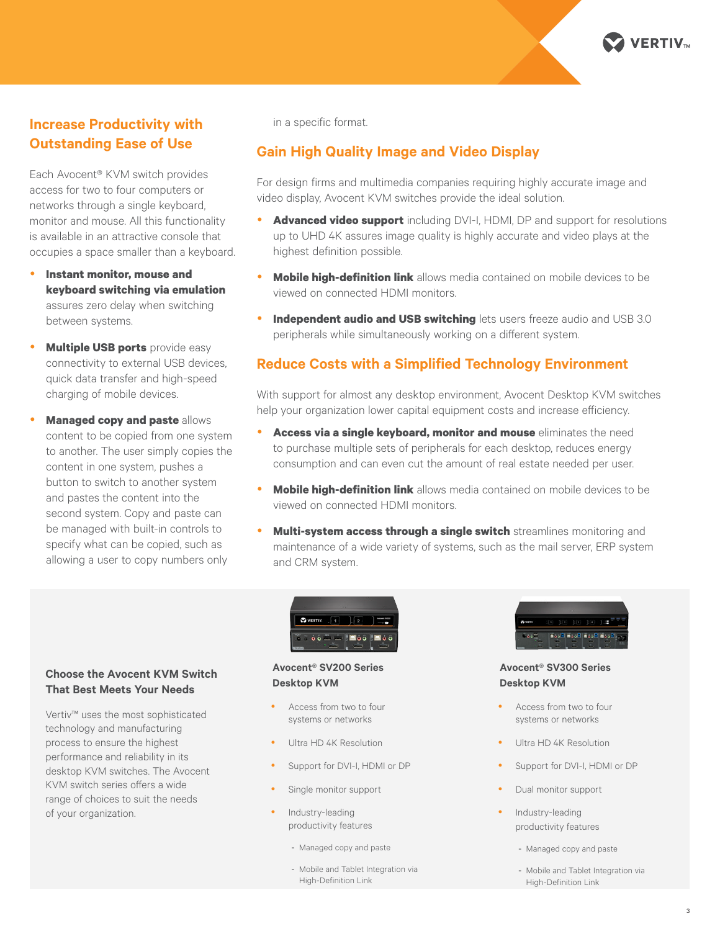

# **Increase Productivity with Outstanding Ease of Use**

Each Avocent® KVM switch provides access for two to four computers or networks through a single keyboard, monitor and mouse. All this functionality is available in an attractive console that occupies a space smaller than a keyboard.

- **Instant monitor, mouse and keyboard switching via emulation** assures zero delay when switching between systems.
- **Multiple USB ports** provide easy connectivity to external USB devices, quick data transfer and high-speed charging of mobile devices.
- **Managed copy and paste** allows content to be copied from one system to another. The user simply copies the content in one system, pushes a button to switch to another system and pastes the content into the second system. Copy and paste can be managed with built-in controls to specify what can be copied, such as allowing a user to copy numbers only

in a specific format.

## **Gain High Quality Image and Video Display**

For design firms and multimedia companies requiring highly accurate image and video display, Avocent KVM switches provide the ideal solution.

- **Advanced video support** including DVI-I, HDMI, DP and support for resolutions up to UHD 4K assures image quality is highly accurate and video plays at the highest definition possible.
- **Mobile high-definition link** allows media contained on mobile devices to be viewed on connected HDMI monitors.
- **Independent audio and USB switching** lets users freeze audio and USB 3.0 peripherals while simultaneously working on a different system.

### **Reduce Costs with a Simplified Technology Environment**

With support for almost any desktop environment, Avocent Desktop KVM switches help your organization lower capital equipment costs and increase efficiency.

- **Access via a single keyboard, monitor and mouse** eliminates the need to purchase multiple sets of peripherals for each desktop, reduces energy consumption and can even cut the amount of real estate needed per user.
- **Mobile high-definition link** allows media contained on mobile devices to be viewed on connected HDMI monitors.
- **Multi-system access through a single switch** streamlines monitoring and maintenance of a wide variety of systems, such as the mail server, ERP system and CRM system.



#### **Avocent® SV200 Series Desktop KVM**

- Access from two to four systems or networks
- Ultra HD 4K Resolution
- Support for DVI-I, HDMI or DP
- Single monitor support
- Industry-leading productivity features
	- Managed copy and paste
	- Mobile and Tablet Integration via High-Definition Link



**Avocent® SV300 Series Desktop KVM**

- Access from two to four systems or networks
- Ultra HD 4K Resolution
- Support for DVI-I, HDMI or DP
- Dual monitor support
	- Industry-leading productivity features
		- Managed copy and paste
		- Mobile and Tablet Integration via High-Definition Link

#### **Choose the Avocent KVM Switch That Best Meets Your Needs**

Vertiv™ uses the most sophisticated technology and manufacturing process to ensure the highest performance and reliability in its desktop KVM switches. The Avocent KVM switch series offers a wide range of choices to suit the needs of your organization.